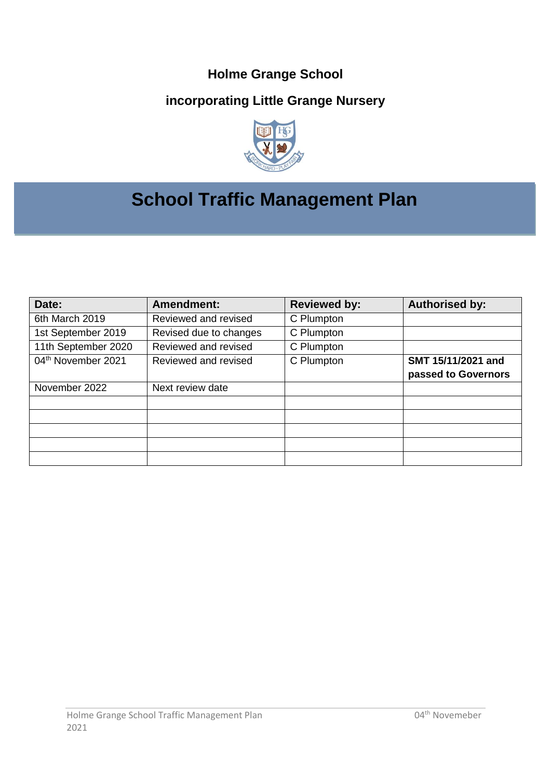## **Holme Grange School**

## **incorporating Little Grange Nursery**



# **School Traffic Management Plan**

| Date:                          | <b>Amendment:</b>      | <b>Reviewed by:</b> | <b>Authorised by:</b> |
|--------------------------------|------------------------|---------------------|-----------------------|
| 6th March 2019                 | Reviewed and revised   | C Plumpton          |                       |
| 1st September 2019             | Revised due to changes | C Plumpton          |                       |
| 11th September 2020            | Reviewed and revised   | C Plumpton          |                       |
| 04 <sup>th</sup> November 2021 | Reviewed and revised   | C Plumpton          | SMT 15/11/2021 and    |
|                                |                        |                     | passed to Governors   |
| November 2022                  | Next review date       |                     |                       |
|                                |                        |                     |                       |
|                                |                        |                     |                       |
|                                |                        |                     |                       |
|                                |                        |                     |                       |
|                                |                        |                     |                       |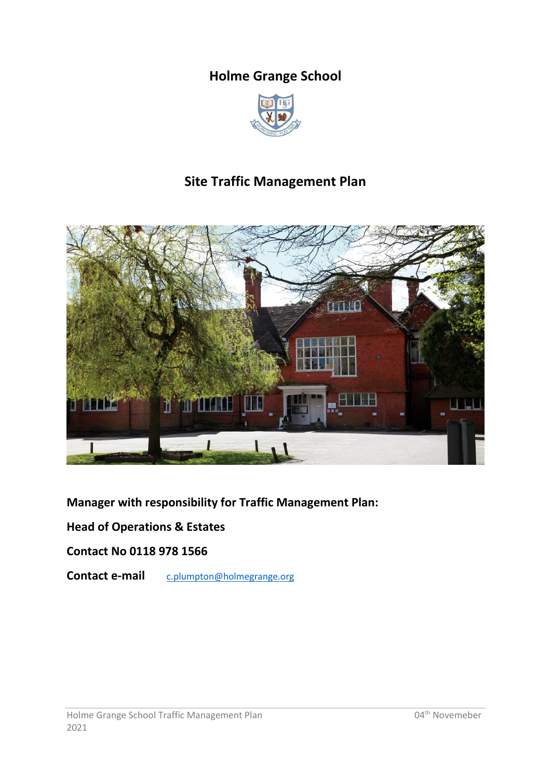## **Holme Grange School**



## **Site Traffic Management Plan**



**Manager with responsibility for Traffic Management Plan:**

**Head of Operations & Estates**

**Contact No 0118 978 1566**

**Contact e-mail** [c.plumpton@holmegrange.org](mailto:c.plumpton@holmegrange.org)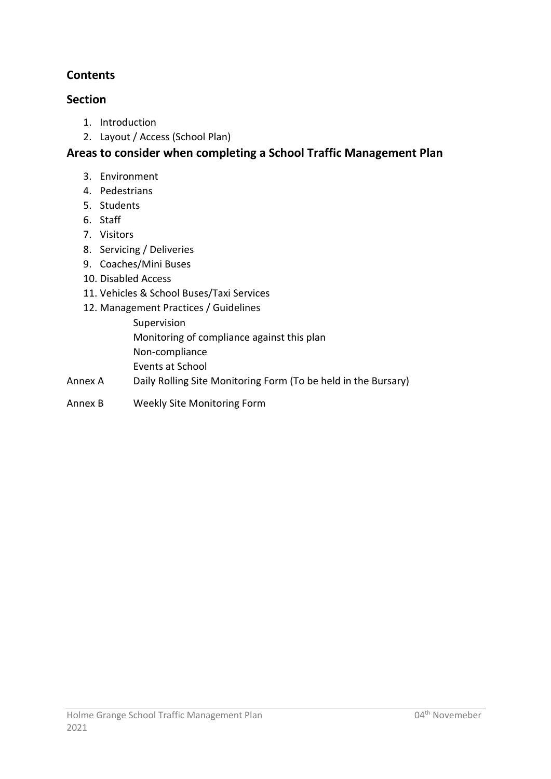## **Contents**

### **Section**

- 1. Introduction
- 2. Layout / Access (School Plan)

## **Areas to consider when completing a School Traffic Management Plan**

- 3. Environment
- 4. Pedestrians
- 5. Students
- 6. Staff
- 7. Visitors
- 8. Servicing / Deliveries
- 9. Coaches/Mini Buses
- 10. Disabled Access
- 11. Vehicles & School Buses/Taxi Services
- 12. Management Practices / Guidelines
	- Supervision Monitoring of compliance against this plan Non-compliance Events at School
- Annex A Daily Rolling Site Monitoring Form (To be held in the Bursary)
- Annex B Weekly Site Monitoring Form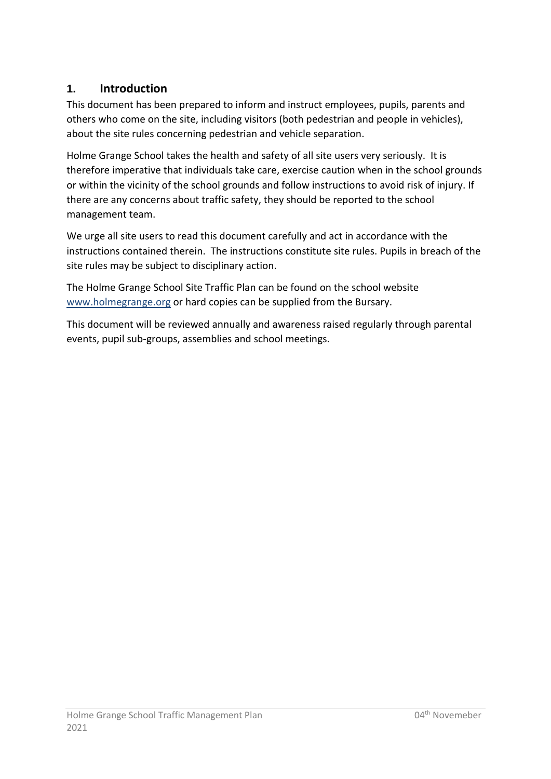## **1. Introduction**

This document has been prepared to inform and instruct employees, pupils, parents and others who come on the site, including visitors (both pedestrian and people in vehicles), about the site rules concerning pedestrian and vehicle separation.

Holme Grange School takes the health and safety of all site users very seriously. It is therefore imperative that individuals take care, exercise caution when in the school grounds or within the vicinity of the school grounds and follow instructions to avoid risk of injury. If there are any concerns about traffic safety, they should be reported to the school management team.

We urge all site users to read this document carefully and act in accordance with the instructions contained therein. The instructions constitute site rules. Pupils in breach of the site rules may be subject to disciplinary action.

The Holme Grange School Site Traffic Plan can be found on the school website [www.holmegrange.](http://www.holmegrange/)org or hard copies can be supplied from the Bursary.

This document will be reviewed annually and awareness raised regularly through parental events, pupil sub-groups, assemblies and school meetings.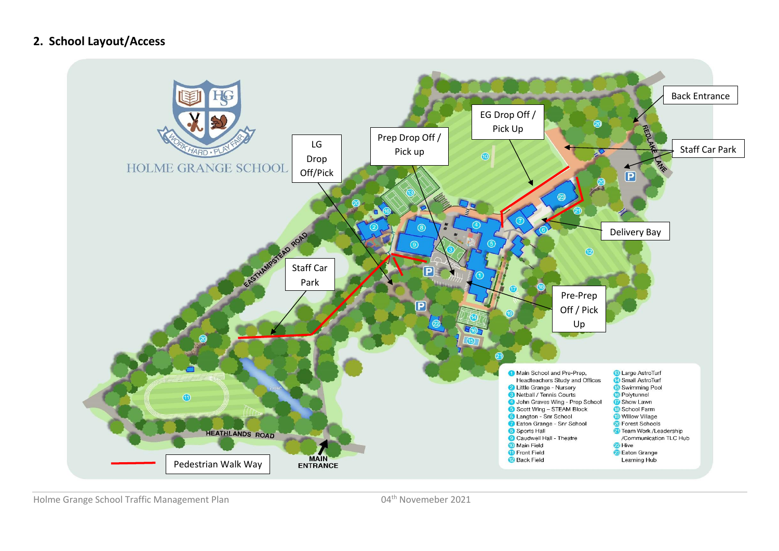## **2. School Layout/Access**



Holme Grange School Traffic Management Plan 1992 1994 1994 1994 1994 1994 1995 1997 1998 1998 1998 1998 1998 1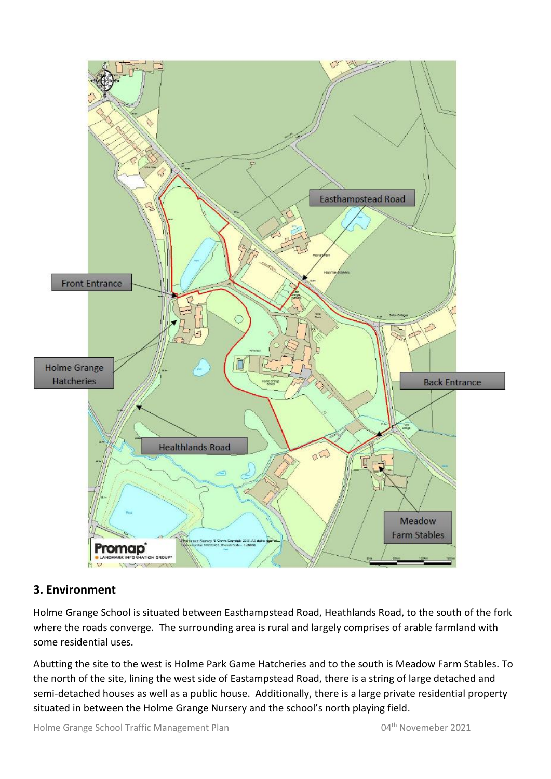

## **3. Environment**

Holme Grange School is situated between Easthampstead Road, Heathlands Road, to the south of the fork where the roads converge. The surrounding area is rural and largely comprises of arable farmland with some residential uses.

Abutting the site to the west is Holme Park Game Hatcheries and to the south is Meadow Farm Stables. To the north of the site, lining the west side of Eastampstead Road, there is a string of large detached and semi-detached houses as well as a public house. Additionally, there is a large private residential property situated in between the Holme Grange Nursery and the school's north playing field.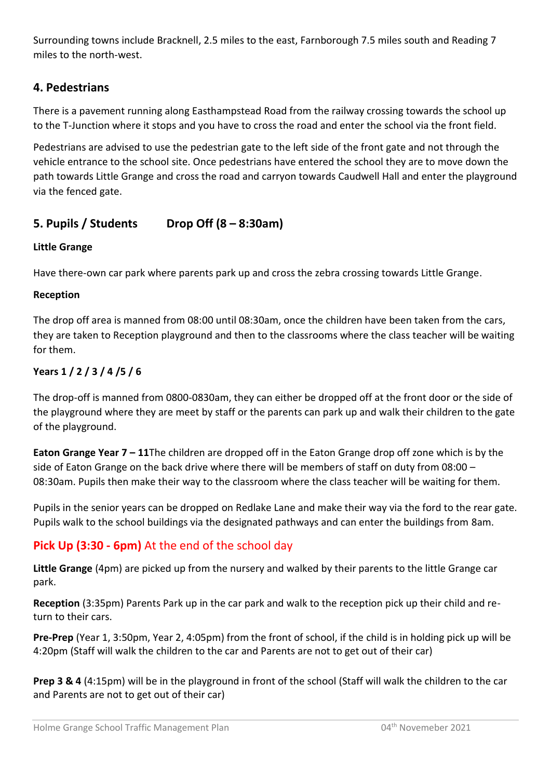Surrounding towns include Bracknell, 2.5 miles to the east, Farnborough 7.5 miles south and Reading 7 miles to the north-west.

## **4. Pedestrians**

There is a pavement running along Easthampstead Road from the railway crossing towards the school up to the T-Junction where it stops and you have to cross the road and enter the school via the front field.

Pedestrians are advised to use the pedestrian gate to the left side of the front gate and not through the vehicle entrance to the school site. Once pedestrians have entered the school they are to move down the path towards Little Grange and cross the road and carryon towards Caudwell Hall and enter the playground via the fenced gate.

### **5. Pupils / Students Drop Off (8 – 8:30am)**

#### **Little Grange**

Have there-own car park where parents park up and cross the zebra crossing towards Little Grange.

#### **Reception**

The drop off area is manned from 08:00 until 08:30am, once the children have been taken from the cars, they are taken to Reception playground and then to the classrooms where the class teacher will be waiting for them.

#### **Years 1 / 2 / 3 / 4 /5 / 6**

The drop-off is manned from 0800-0830am, they can either be dropped off at the front door or the side of the playground where they are meet by staff or the parents can park up and walk their children to the gate of the playground.

**Eaton Grange Year 7 – 11**The children are dropped off in the Eaton Grange drop off zone which is by the side of Eaton Grange on the back drive where there will be members of staff on duty from 08:00 – 08:30am. Pupils then make their way to the classroom where the class teacher will be waiting for them.

Pupils in the senior years can be dropped on Redlake Lane and make their way via the ford to the rear gate. Pupils walk to the school buildings via the designated pathways and can enter the buildings from 8am.

## **Pick Up (3:30 - 6pm)** At the end of the school day

**Little Grange** (4pm) are picked up from the nursery and walked by their parents to the little Grange car park.

**Reception** (3:35pm) Parents Park up in the car park and walk to the reception pick up their child and return to their cars.

**Pre-Prep** (Year 1, 3:50pm, Year 2, 4:05pm) from the front of school, if the child is in holding pick up will be 4:20pm (Staff will walk the children to the car and Parents are not to get out of their car)

**Prep 3 & 4** (4:15pm) will be in the playground in front of the school (Staff will walk the children to the car and Parents are not to get out of their car)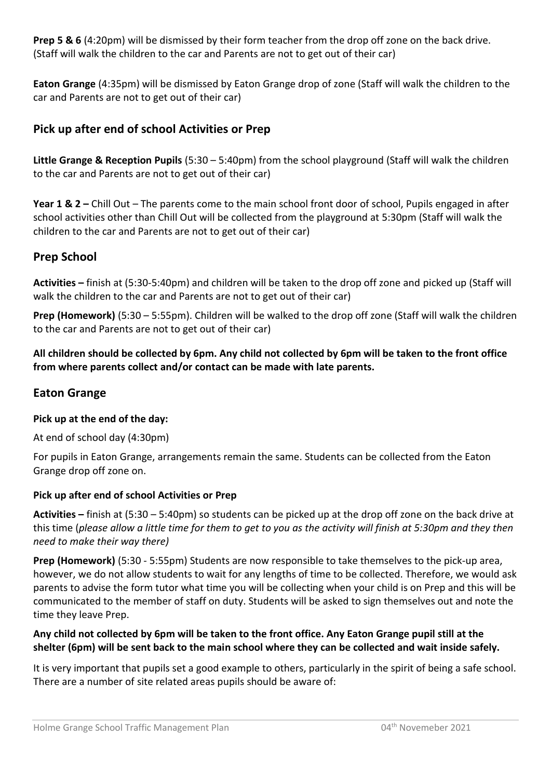**Prep 5 & 6** (4:20pm) will be dismissed by their form teacher from the drop off zone on the back drive. (Staff will walk the children to the car and Parents are not to get out of their car)

**Eaton Grange** (4:35pm) will be dismissed by Eaton Grange drop of zone (Staff will walk the children to the car and Parents are not to get out of their car)

## **Pick up after end of school Activities or Prep**

**Little Grange & Reception Pupils** (5:30 – 5:40pm) from the school playground (Staff will walk the children to the car and Parents are not to get out of their car)

**Year 1 & 2 –** Chill Out – The parents come to the main school front door of school, Pupils engaged in after school activities other than Chill Out will be collected from the playground at 5:30pm (Staff will walk the children to the car and Parents are not to get out of their car)

### **Prep School**

**Activities –** finish at (5:30-5:40pm) and children will be taken to the drop off zone and picked up (Staff will walk the children to the car and Parents are not to get out of their car)

**Prep (Homework)** (5:30 – 5:55pm). Children will be walked to the drop off zone (Staff will walk the children to the car and Parents are not to get out of their car)

**All children should be collected by 6pm. Any child not collected by 6pm will be taken to the front office from where parents collect and/or contact can be made with late parents.** 

### **Eaton Grange**

#### **Pick up at the end of the day:**

At end of school day (4:30pm)

For pupils in Eaton Grange, arrangements remain the same. Students can be collected from the Eaton Grange drop off zone on.

#### **Pick up after end of school Activities or Prep**

**Activities –** finish at (5:30 – 5:40pm) so students can be picked up at the drop off zone on the back drive at this time (*please allow a little time for them to get to you as the activity will finish at 5:30pm and they then need to make their way there)* 

**Prep (Homework)** (5:30 - 5:55pm) Students are now responsible to take themselves to the pick-up area, however, we do not allow students to wait for any lengths of time to be collected. Therefore, we would ask parents to advise the form tutor what time you will be collecting when your child is on Prep and this will be communicated to the member of staff on duty. Students will be asked to sign themselves out and note the time they leave Prep.

#### **Any child not collected by 6pm will be taken to the front office. Any Eaton Grange pupil still at the shelter (6pm) will be sent back to the main school where they can be collected and wait inside safely.**

It is very important that pupils set a good example to others, particularly in the spirit of being a safe school. There are a number of site related areas pupils should be aware of: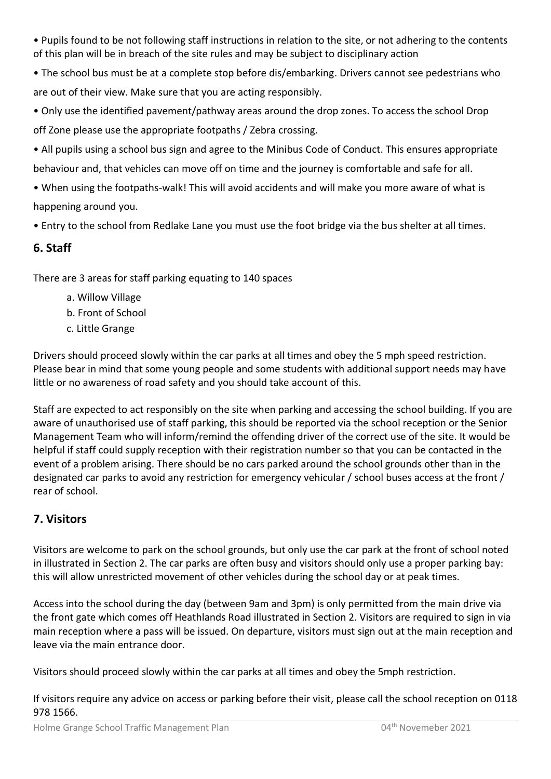- Pupils found to be not following staff instructions in relation to the site, or not adhering to the contents of this plan will be in breach of the site rules and may be subject to disciplinary action
- The school bus must be at a complete stop before dis/embarking. Drivers cannot see pedestrians who are out of their view. Make sure that you are acting responsibly.
- Only use the identified pavement/pathway areas around the drop zones. To access the school Drop off Zone please use the appropriate footpaths / Zebra crossing.
- All pupils using a school bus sign and agree to the Minibus Code of Conduct. This ensures appropriate behaviour and, that vehicles can move off on time and the journey is comfortable and safe for all.
- When using the footpaths-walk! This will avoid accidents and will make you more aware of what is happening around you.
- Entry to the school from Redlake Lane you must use the foot bridge via the bus shelter at all times.

## **6. Staff**

There are 3 areas for staff parking equating to 140 spaces

- a. Willow Village
- b. Front of School
- c. Little Grange

Drivers should proceed slowly within the car parks at all times and obey the 5 mph speed restriction. Please bear in mind that some young people and some students with additional support needs may have little or no awareness of road safety and you should take account of this.

Staff are expected to act responsibly on the site when parking and accessing the school building. If you are aware of unauthorised use of staff parking, this should be reported via the school reception or the Senior Management Team who will inform/remind the offending driver of the correct use of the site. It would be helpful if staff could supply reception with their registration number so that you can be contacted in the event of a problem arising. There should be no cars parked around the school grounds other than in the designated car parks to avoid any restriction for emergency vehicular / school buses access at the front / rear of school.

## **7. Visitors**

Visitors are welcome to park on the school grounds, but only use the car park at the front of school noted in illustrated in Section 2. The car parks are often busy and visitors should only use a proper parking bay: this will allow unrestricted movement of other vehicles during the school day or at peak times.

Access into the school during the day (between 9am and 3pm) is only permitted from the main drive via the front gate which comes off Heathlands Road illustrated in Section 2. Visitors are required to sign in via main reception where a pass will be issued. On departure, visitors must sign out at the main reception and leave via the main entrance door.

Visitors should proceed slowly within the car parks at all times and obey the 5mph restriction.

If visitors require any advice on access or parking before their visit, please call the school reception on 0118 978 1566.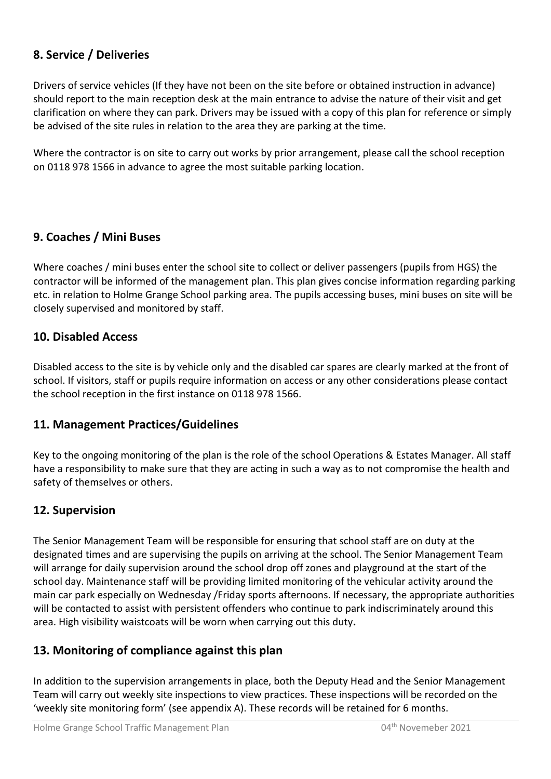### **8. Service / Deliveries**

Drivers of service vehicles (If they have not been on the site before or obtained instruction in advance) should report to the main reception desk at the main entrance to advise the nature of their visit and get clarification on where they can park. Drivers may be issued with a copy of this plan for reference or simply be advised of the site rules in relation to the area they are parking at the time.

Where the contractor is on site to carry out works by prior arrangement, please call the school reception on 0118 978 1566 in advance to agree the most suitable parking location.

#### **9. Coaches / Mini Buses**

Where coaches / mini buses enter the school site to collect or deliver passengers (pupils from HGS) the contractor will be informed of the management plan. This plan gives concise information regarding parking etc. in relation to Holme Grange School parking area. The pupils accessing buses, mini buses on site will be closely supervised and monitored by staff.

#### **10. Disabled Access**

Disabled access to the site is by vehicle only and the disabled car spares are clearly marked at the front of school. If visitors, staff or pupils require information on access or any other considerations please contact the school reception in the first instance on 0118 978 1566.

#### **11. Management Practices/Guidelines**

Key to the ongoing monitoring of the plan is the role of the school Operations & Estates Manager. All staff have a responsibility to make sure that they are acting in such a way as to not compromise the health and safety of themselves or others.

#### **12. Supervision**

The Senior Management Team will be responsible for ensuring that school staff are on duty at the designated times and are supervising the pupils on arriving at the school. The Senior Management Team will arrange for daily supervision around the school drop off zones and playground at the start of the school day. Maintenance staff will be providing limited monitoring of the vehicular activity around the main car park especially on Wednesday /Friday sports afternoons. If necessary, the appropriate authorities will be contacted to assist with persistent offenders who continue to park indiscriminately around this area. High visibility waistcoats will be worn when carrying out this duty**.** 

### **13. Monitoring of compliance against this plan**

In addition to the supervision arrangements in place, both the Deputy Head and the Senior Management Team will carry out weekly site inspections to view practices. These inspections will be recorded on the 'weekly site monitoring form' (see appendix A). These records will be retained for 6 months.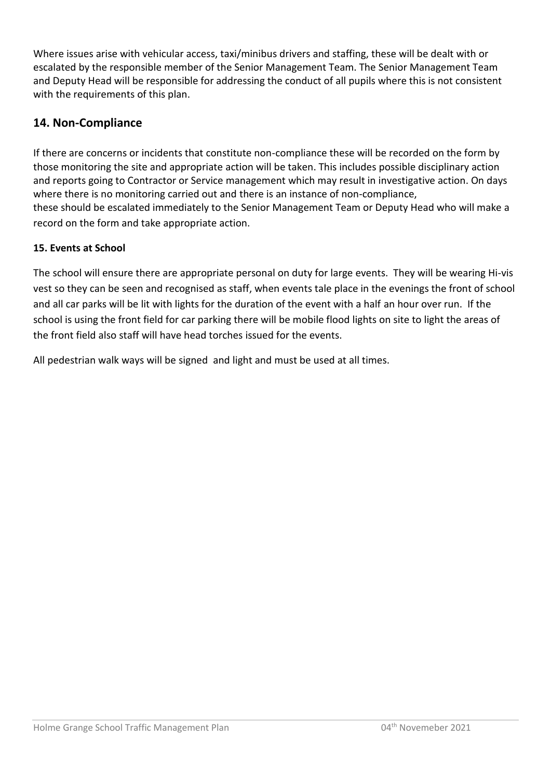Where issues arise with vehicular access, taxi/minibus drivers and staffing, these will be dealt with or escalated by the responsible member of the Senior Management Team. The Senior Management Team and Deputy Head will be responsible for addressing the conduct of all pupils where this is not consistent with the requirements of this plan.

### **14. Non-Compliance**

If there are concerns or incidents that constitute non-compliance these will be recorded on the form by those monitoring the site and appropriate action will be taken. This includes possible disciplinary action and reports going to Contractor or Service management which may result in investigative action. On days where there is no monitoring carried out and there is an instance of non-compliance, these should be escalated immediately to the Senior Management Team or Deputy Head who will make a record on the form and take appropriate action.

#### **15. Events at School**

The school will ensure there are appropriate personal on duty for large events. They will be wearing Hi-vis vest so they can be seen and recognised as staff, when events tale place in the evenings the front of school and all car parks will be lit with lights for the duration of the event with a half an hour over run. If the school is using the front field for car parking there will be mobile flood lights on site to light the areas of the front field also staff will have head torches issued for the events.

All pedestrian walk ways will be signed and light and must be used at all times.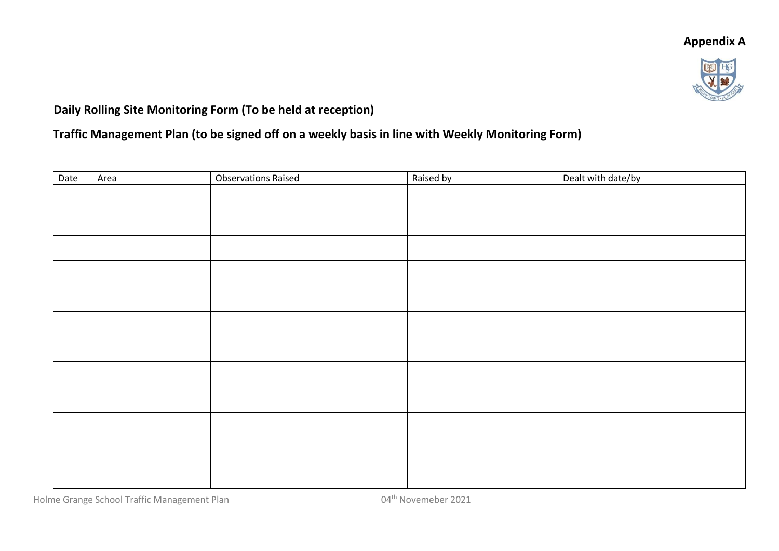## **Appendix A**



## **Daily Rolling Site Monitoring Form (To be held at reception)**

## **Traffic Management Plan (to be signed off on a weekly basis in line with Weekly Monitoring Form)**

| Date | Area | <b>Observations Raised</b> | Raised by | Dealt with date/by |
|------|------|----------------------------|-----------|--------------------|
|      |      |                            |           |                    |
|      |      |                            |           |                    |
|      |      |                            |           |                    |
|      |      |                            |           |                    |
|      |      |                            |           |                    |
|      |      |                            |           |                    |
|      |      |                            |           |                    |
|      |      |                            |           |                    |
|      |      |                            |           |                    |
|      |      |                            |           |                    |
|      |      |                            |           |                    |
|      |      |                            |           |                    |
|      |      |                            |           |                    |

Holme Grange School Traffic Management Plan 04<sup>th</sup> Novemeber 2021